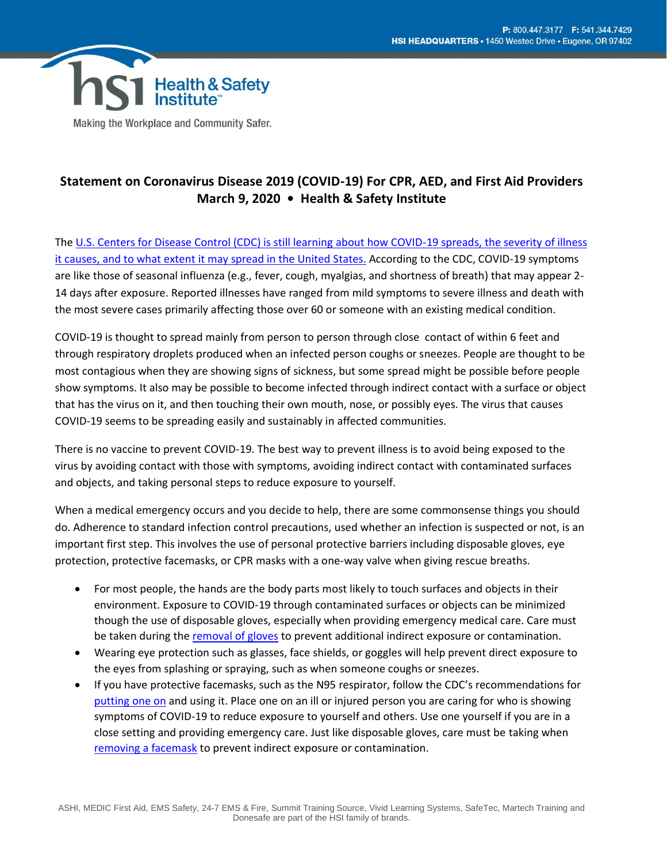

Making the Workplace and Community Safer.

## **Statement on Coronavirus Disease 2019 (COVID-19) For CPR, AED, and First Aid Providers March 9, 2020 • Health & Safety Institute**

Th[e U.S. Centers for Disease Control \(CDC\) is still learning about how COVID-19 spreads, the severity of illness](https://www.cdc.gov/coronavirus/2019-ncov/about/prevention-treatment.html)  [it causes, and to what extent it may spread in the United States.](https://www.cdc.gov/coronavirus/2019-ncov/about/prevention-treatment.html) According to the CDC, COVID-19 symptoms are like those of seasonal influenza (e.g., fever, cough, myalgias, and shortness of breath) that may appear 2- 14 days after exposure. Reported illnesses have ranged from mild symptoms to severe illness and death with the most severe cases primarily affecting those over 60 or someone with an existing medical condition.

COVID-19 is thought to spread mainly from person to person through close contact of within 6 feet and through respiratory droplets produced when an infected person coughs or sneezes. People are thought to be most contagious when they are showing signs of sickness, but some spread might be possible before people show symptoms. It also may be possible to become infected through indirect contact with a surface or object that has the virus on it, and then touching their own mouth, nose, or possibly eyes. The virus that causes COVID-19 seems to be spreading easily and sustainably in affected communities.

There is no vaccine to prevent COVID-19. The best way to prevent illness is to avoid being exposed to the virus by avoiding contact with those with symptoms, avoiding indirect contact with contaminated surfaces and objects, and taking personal steps to reduce exposure to yourself.

When a medical emergency occurs and you decide to help, there are some commonsense things you should do. Adherence to standard infection control precautions, used whether an infection is suspected or not, is an important first step. This involves the use of personal protective barriers including disposable gloves, eye protection, protective facemasks, or CPR masks with a one-way valve when giving rescue breaths.

- For most people, the hands are the body parts most likely to touch surfaces and objects in their environment. Exposure to COVID-19 through contaminated surfaces or objects can be minimized though the use of disposable gloves, especially when providing emergency medical care. Care must be taken during th[e removal of gloves](https://www.cdc.gov/vhf/ebola/hcp/ppe-training/n95respirator_gown/doffing_21.html) to prevent additional indirect exposure or contamination.
- Wearing eye protection such as glasses, face shields, or goggles will help prevent direct exposure to the eyes from splashing or spraying, such as when someone coughs or sneezes.
- If you have protective facemasks, such as the N95 respirator, follow the CDC's recommendations for [putting one](https://www.cdc.gov/vhf/ebola/hcp/ppe-training/n95respirator_gown/donning_09.html) on and using it. Place one on an ill or injured person you are caring for who is showing symptoms of COVID-19 to reduce exposure to yourself and others. Use one yourself if you are in a close setting and providing emergency care. Just like disposable gloves, care must be taking when [removing a facemask](https://www.cdc.gov/vhf/ebola/hcp/ppe-training/n95respirator_gown/doffing_17.html) to prevent indirect exposure or contamination.